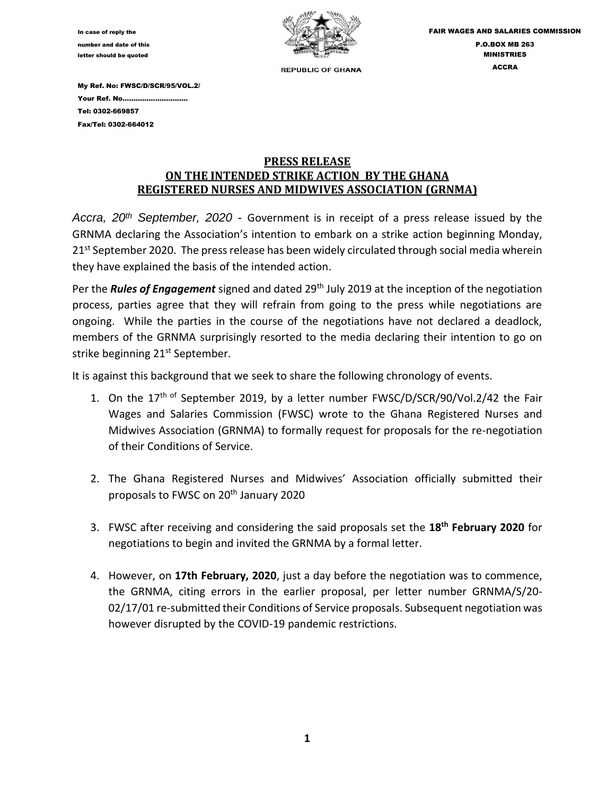

My Ref. No: FWSC/D/SCR/95/VOL.2/ Your Ref. No………………………… Tel: 0302-669857 Fax/Tel: 0302-664012

## **PRESS RELEASE ON THE INTENDED STRIKE ACTION BY THE GHANA REGISTERED NURSES AND MIDWIVES ASSOCIATION (GRNMA)**

*Accra, 20th September, 2020* - Government is in receipt of a press release issued by the GRNMA declaring the Association's intention to embark on a strike action beginning Monday,  $21<sup>st</sup> September 2020.$  The press release has been widely circulated through social media wherein they have explained the basis of the intended action.

Per the *Rules of Engagement* signed and dated 29th July 2019 at the inception of the negotiation process, parties agree that they will refrain from going to the press while negotiations are ongoing. While the parties in the course of the negotiations have not declared a deadlock, members of the GRNMA surprisingly resorted to the media declaring their intention to go on strike beginning 21<sup>st</sup> September.

It is against this background that we seek to share the following chronology of events.

- 1. On the  $17<sup>th of</sup> September 2019$ , by a letter number FWSC/D/SCR/90/Vol.2/42 the Fair Wages and Salaries Commission (FWSC) wrote to the Ghana Registered Nurses and Midwives Association (GRNMA) to formally request for proposals for the re-negotiation of their Conditions of Service.
- 2. The Ghana Registered Nurses and Midwives' Association officially submitted their proposals to FWSC on 20th January 2020
- 3. FWSC after receiving and considering the said proposals set the **18th February 2020** for negotiations to begin and invited the GRNMA by a formal letter.
- 4. However, on **17th February, 2020**, just a day before the negotiation was to commence, the GRNMA, citing errors in the earlier proposal, per letter number GRNMA/S/20- 02/17/01 re-submitted their Conditions of Service proposals. Subsequent negotiation was however disrupted by the COVID-19 pandemic restrictions.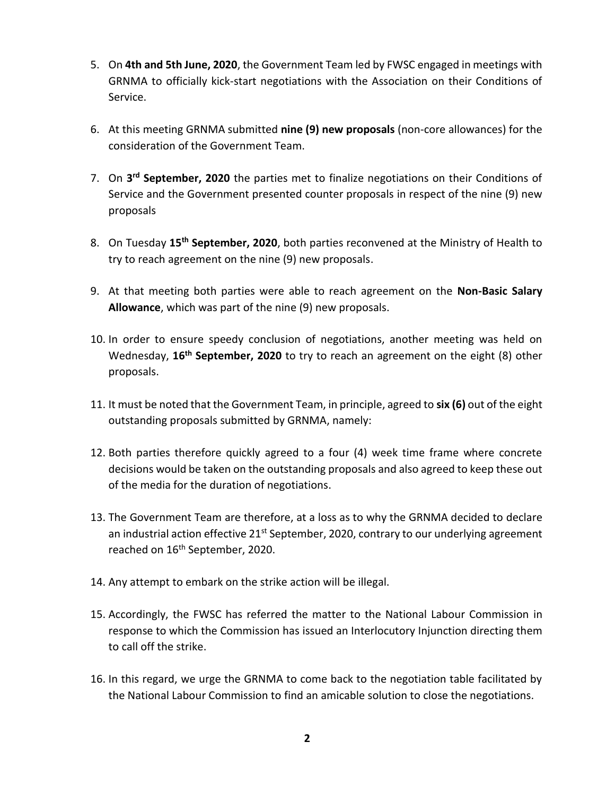- 5. On **4th and 5th June, 2020**, the Government Team led by FWSC engaged in meetings with GRNMA to officially kick-start negotiations with the Association on their Conditions of Service.
- 6. At this meeting GRNMA submitted **nine (9) new proposals** (non-core allowances) for the consideration of the Government Team.
- 7. On **3 rd September, 2020** the parties met to finalize negotiations on their Conditions of Service and the Government presented counter proposals in respect of the nine (9) new proposals
- 8. On Tuesday **15th September, 2020**, both parties reconvened at the Ministry of Health to try to reach agreement on the nine (9) new proposals.
- 9. At that meeting both parties were able to reach agreement on the **Non-Basic Salary Allowance**, which was part of the nine (9) new proposals.
- 10. In order to ensure speedy conclusion of negotiations, another meeting was held on Wednesday, **16th September, 2020** to try to reach an agreement on the eight (8) other proposals.
- 11. It must be noted that the Government Team, in principle, agreed to **six (6)** out of the eight outstanding proposals submitted by GRNMA, namely:
- 12. Both parties therefore quickly agreed to a four (4) week time frame where concrete decisions would be taken on the outstanding proposals and also agreed to keep these out of the media for the duration of negotiations.
- 13. The Government Team are therefore, at a loss as to why the GRNMA decided to declare an industrial action effective  $21^{st}$  September, 2020, contrary to our underlying agreement reached on 16<sup>th</sup> September, 2020.
- 14. Any attempt to embark on the strike action will be illegal.
- 15. Accordingly, the FWSC has referred the matter to the National Labour Commission in response to which the Commission has issued an Interlocutory Injunction directing them to call off the strike.
- 16. In this regard, we urge the GRNMA to come back to the negotiation table facilitated by the National Labour Commission to find an amicable solution to close the negotiations.